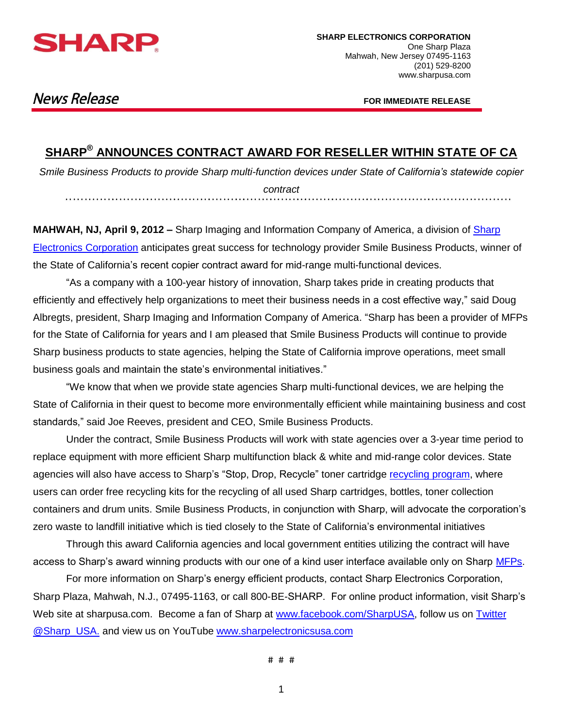

# **News Release**

**FOR IMMEDIATE RELEASE**

## **SHARP® ANNOUNCES CONTRACT AWARD FOR RESELLER WITHIN STATE OF CA**

*Smile Business Products to provide Sharp multi-function devices under State of California's statewide copier contract*

**MAHWAH, NJ, April 9, 2012 –** Sharp Imaging and Information Company of America, a division of [Sharp](http://www.sharpusa.com/)  [Electronics Corporation](http://www.sharpusa.com/) anticipates great success for technology provider Smile Business Products, winner of the State of California's recent copier contract award for mid-range multi-functional devices.

"As a company with a 100-year history of innovation, Sharp takes pride in creating products that efficiently and effectively help organizations to meet their business needs in a cost effective way," said Doug Albregts, president, Sharp Imaging and Information Company of America. "Sharp has been a provider of MFPs for the State of California for years and I am pleased that Smile Business Products will continue to provide Sharp business products to state agencies, helping the State of California improve operations, meet small business goals and maintain the state's environmental initiatives."

"We know that when we provide state agencies Sharp multi-functional devices, we are helping the State of California in their quest to become more environmentally efficient while maintaining business and cost standards," said Joe Reeves, president and CEO, Smile Business Products.

Under the contract, Smile Business Products will work with state agencies over a 3-year time period to replace equipment with more efficient Sharp multifunction black & white and mid-range color devices. State agencies will also have access to Sharp's "Stop, Drop, Recycle" toner cartridge [recycling program,](http://www.sharpusa.com/AboutSharp/SharpAndTheEnvironment/Recycling/TonerRecycling.aspx) where users can order free recycling kits for the recycling of all used Sharp cartridges, bottles, toner collection containers and drum units. Smile Business Products, in conjunction with Sharp, will advocate the corporation's zero waste to landfill initiative which is tied closely to the State of California's environmental initiatives

Through this award California agencies and local government entities utilizing the contract will have access to Sharp's award winning products with our one of a kind user interface available only on Sharp [MFPs.](http://www.sharpusa.com/ForBusiness/DocumentSystems/MFPsPrinters.aspx)

For more information on Sharp's energy efficient products, contact Sharp Electronics Corporation, Sharp Plaza, Mahwah, N.J., 07495-1163, or call 800-BE-SHARP. For online product information, visit Sharp's Web site at sharpusa.com. Become a fan of Sharp at [www.facebook.com/SharpUSA,](http://www.facebook.com/SharpUSA) follow us on Twitter [@Sharp\\_USA.](http://twitter.com/sharp_usa) and view us on YouTube [www.sharpelectronicsusa.com](http://www.sharpelectronicsusa.com/)

# # #